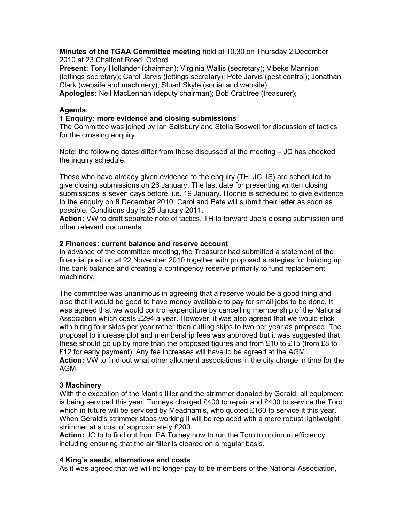**Minutes of the TGAA Committee meeting** held at 10.30 on Thursday 2 December 2010 at 23 Chalfont Road, Oxford.

**Present:** Tony Hollander (chairman); Virginia Wallis (secretary); Vibeke Mannion (lettings secretary); Carol Jarvis (lettings secretary); Pete Jarvis (pest control); Jonathan Clark (website and machinery); Stuart Skyte (social and website).

**Apologies:** Neil MacLennan (deputy chairman); Bob Crabtree (treasurer);

## **Agenda**

## **1 Enquiry: more evidence and closing submissions**

The Committee was joined by Ian Salisbury and Stella Boswell for discussion of tactics for the crossing enquiry.

Note: the following dates differ from those discussed at the meeting – JC has checked the inquiry schedule.

Those who have already given evidence to the enquiry (TH, JC, IS) are scheduled to give closing submissions on 26 January. The last date for presenting written closing submissions is seven days before, i.e. 19 January. Hoonie is scheduled to give evidence to the enquiry on 8 December 2010. Carol and Pete will submit their letter as soon as possible. Conditions day is 25 January 2011.

**Action:** VW to draft separate note of tactics. TH to forward Joe's closing submission and other relevant documents.

#### **2 Finances: current balance and reserve account**

In advance of the committee meeting, the Treasurer had submitted a statement of the financial position at 22 November 2010 together with proposed strategies for building up the bank balance and creating a contingency reserve primarily to fund replacement machinery.

The committee was unanimous in agreeing that a reserve would be a good thing and also that it would be good to have money available to pay for small jobs to be done. It was agreed that we would control expenditure by cancelling membership of the National Association which costs £294 a year. However, it was also agreed that we would stick with hiring four skips per year rather than cutting skips to two per year as proposed. The proposal to increase plot and membership fees was approved but it was suggested that these should go up by more than the proposed figures and from £10 to £15 (from £8 to £12 for early payment). Any fee increases will have to be agreed at the AGM. **Action:** VW to find out what other allotment associations in the city charge in time for the AGM.

#### **3 Machinery**

With the exception of the Mantis tiller and the strimmer donated by Gerald, all equipment is being serviced this year. Turneys charged  $£400$  to repair and  $£400$  to service the Toro which in future will be serviced by Meadham's, who quoted £160 to service it this year. When Gerald's strimmer stops working it will be replaced with a more robust lightweight strimmer at a cost of approximately £200.

**Action:** JC to to find out from PA Turney how to run the Toro to optimum efficiency including ensuring that the air filter is cleared on a regular basis.

#### **4 King's seeds, alternatives and costs**

As it was agreed that we will no longer pay to be members of the National Association,